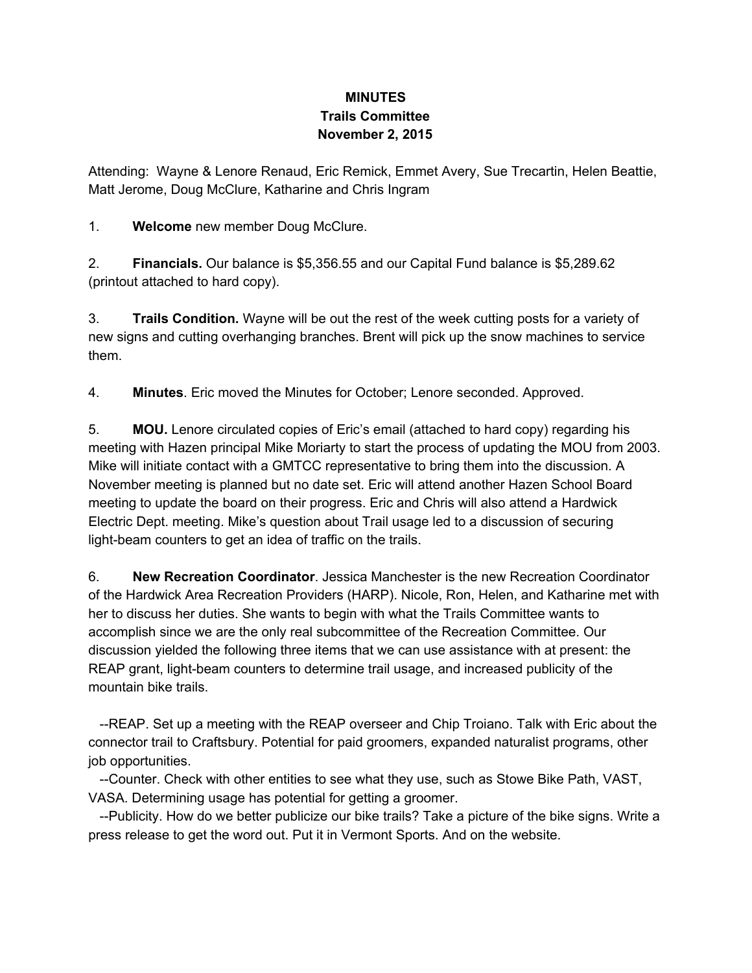## **MINUTES Trails Committee November 2, 2015**

Attending: Wayne & Lenore Renaud, Eric Remick, Emmet Avery, Sue Trecartin, Helen Beattie, Matt Jerome, Doug McClure, Katharine and Chris Ingram

1. **Welcome**new member Doug McClure.

2. **Financials.**Our balance is \$5,356.55 and our Capital Fund balance is \$5,289.62 (printout attached to hard copy).

3. **Trails Condition.** Wayne will be out the rest of the week cutting posts for a variety of new signs and cutting overhanging branches. Brent will pick up the snow machines to service them.

4. **Minutes**. Eric moved the Minutes for October; Lenore seconded. Approved.

5. **MOU.** Lenore circulated copies of Eric's email (attached to hard copy) regarding his meeting with Hazen principal Mike Moriarty to start the process of updating the MOU from 2003. Mike will initiate contact with a GMTCC representative to bring them into the discussion. A November meeting is planned but no date set. Eric will attend another Hazen School Board meeting to update the board on their progress. Eric and Chris will also attend a Hardwick Electric Dept. meeting. Mike's question about Trail usage led to a discussion of securing light-beam counters to get an idea of traffic on the trails.

6. **New Recreation Coordinator**. Jessica Manchester is the new Recreation Coordinator of the Hardwick Area Recreation Providers (HARP). Nicole, Ron, Helen, and Katharine met with her to discuss her duties. She wants to begin with what the Trails Committee wants to accomplish since we are the only real subcommittee of the Recreation Committee. Our discussion yielded the following three items that we can use assistance with at present: the REAP grant, light-beam counters to determine trail usage, and increased publicity of the mountain bike trails.

REAP. Set up a meeting with the REAP overseer and Chip Troiano. Talk with Eric about the connector trail to Craftsbury. Potential for paid groomers, expanded naturalist programs, other job opportunities.

Counter. Check with other entities to see what they use, such as Stowe Bike Path, VAST, VASA. Determining usage has potential for getting a groomer.

Publicity. How do we better publicize our bike trails? Take a picture of the bike signs. Write a press release to get the word out. Put it in Vermont Sports. And on the website.